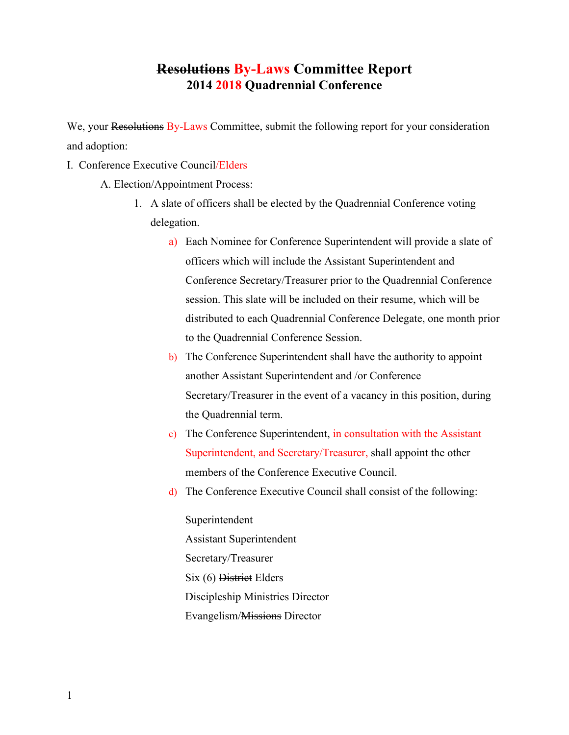## **Resolutions By-Laws Committee Report 2014 2018 Quadrennial Conference**

We, your Resolutions By-Laws Committee, submit the following report for your consideration and adoption:

- I. Conference Executive Council/Elders
	- A. Election/Appointment Process:
		- 1. A slate of officers shall be elected by the Quadrennial Conference voting delegation.
			- a) Each Nominee for Conference Superintendent will provide a slate of officers which will include the Assistant Superintendent and Conference Secretary/Treasurer prior to the Quadrennial Conference session. This slate will be included on their resume, which will be distributed to each Quadrennial Conference Delegate, one month prior to the Quadrennial Conference Session.
			- b) The Conference Superintendent shall have the authority to appoint another Assistant Superintendent and /or Conference Secretary/Treasurer in the event of a vacancy in this position, during the Quadrennial term.
			- c) The Conference Superintendent, in consultation with the Assistant Superintendent, and Secretary/Treasurer, shall appoint the other members of the Conference Executive Council.
			- d) The Conference Executive Council shall consist of the following:

Superintendent Assistant Superintendent Secretary/Treasurer Six (6) District Elders Discipleship Ministries Director Evangelism/Missions Director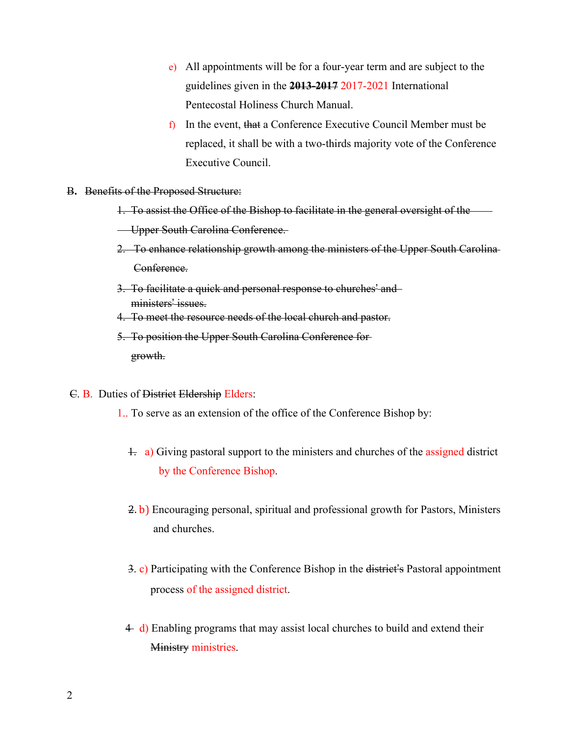- e) All appointments will be for a four-year term and are subject to the guidelines given in the **2013-2017** 2017-2021 International Pentecostal Holiness Church Manual.
- f) In the event, that a Conference Executive Council Member must be replaced, it shall be with a two-thirds majority vote of the Conference Executive Council.
- B**.** Benefits of the Proposed Structure:
	- 1. To assist the Office of the Bishop to facilitate in the general oversight of the
	- **Upper South Carolina Conference.**
	- 2. To enhance relationship growth among the ministers of the Upper South Carolina Conference.
	- 3. To facilitate a quick and personal response to churches' and ministers' issues.
	- 4. To meet the resource needs of the local church and pastor.
	- 5. To position the Upper South Carolina Conference for growth.
- C. B. Duties of District Eldership Elders:
	- 1.. To serve as an extension of the office of the Conference Bishop by:
		- 1. a) Giving pastoral support to the ministers and churches of the assigned district by the Conference Bishop.
		- 2. b) Encouraging personal, spiritual and professional growth for Pastors, Ministers and churches.
		- 3. c) Participating with the Conference Bishop in the district's Pastoral appointment process of the assigned district.
		- 4 d) Enabling programs that may assist local churches to build and extend their Ministry ministries.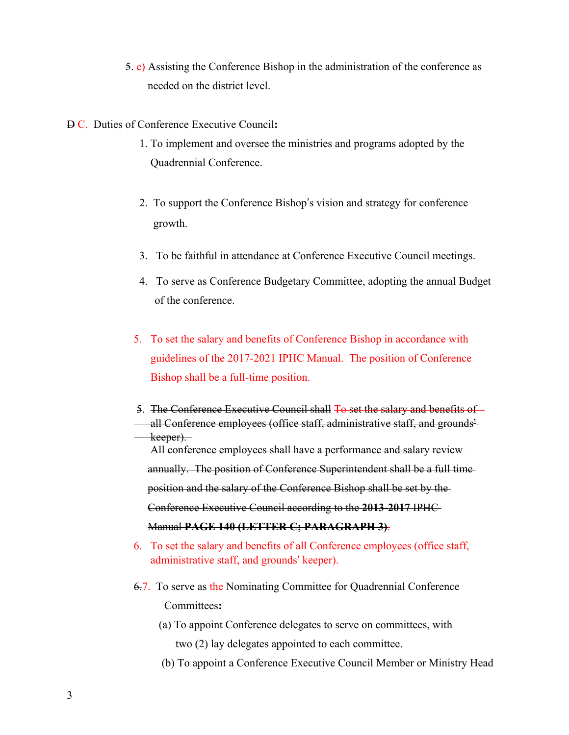5. e) Assisting the Conference Bishop in the administration of the conference as needed on the district level.

## D C. Duties of Conference Executive Council**:**

- 1. To implement and oversee the ministries and programs adopted by the Quadrennial Conference.
- 2. To support the Conference Bishop's vision and strategy for conference growth.
- 3. To be faithful in attendance at Conference Executive Council meetings.
- 4. To serve as Conference Budgetary Committee, adopting the annual Budget of the conference.
- 5. To set the salary and benefits of Conference Bishop in accordance with guidelines of the 2017-2021 IPHC Manual. The position of Conference Bishop shall be a full-time position.
- 5. The Conference Executive Council shall To set the salary and benefits of all Conference employees (office staff, administrative staff, and grounds' keeper).

All conference employees shall have a performance and salary review annually. The position of Conference Superintendent shall be a full time position and the salary of the Conference Bishop shall be set by the Conference Executive Council according to the **2013-2017** IPHC

# Manual **PAGE 140 (LETTER C; PARAGRAPH 3)**.

- 6. To set the salary and benefits of all Conference employees (office staff, administrative staff, and grounds' keeper).
- 6.7. To serve as the Nominating Committee for Quadrennial Conference Committees**:**
	- (a) To appoint Conference delegates to serve on committees, with

two (2) lay delegates appointed to each committee.

(b) To appoint a Conference Executive Council Member or Ministry Head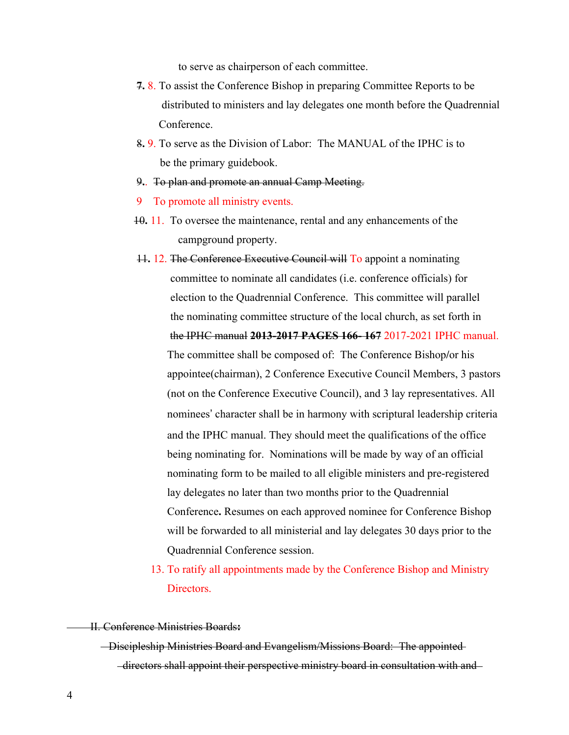to serve as chairperson of each committee.

- **7.** 8. To assist the Conference Bishop in preparing Committee Reports to be distributed to ministers and lay delegates one month before the Quadrennial **Conference**
- 8**.** 9. To serve as the Division of Labor:The MANUAL of the IPHC is to be the primary guidebook.
- 9**.**.To plan and promote an annual Camp Meeting.
- 9To promote all ministry events.
- 10**.** 11. To oversee the maintenance, rental and any enhancements of the campground property.
- 11**.** 12. The Conference Executive Council will To appoint a nominating committee to nominate all candidates (i.e. conference officials) for election to the Quadrennial Conference. This committee will parallel the nominating committee structure of the local church, as set forth in the IPHC manual **2013-2017 PAGES 166- 167** 2017-2021 IPHC manual. The committee shall be composed of: The Conference Bishop**/**or his appointee(chairman), 2 Conference Executive Council Members, 3 pastors (not on the Conference Executive Council), and 3 lay representatives. All nominees' character shall be in harmony with scriptural leadership criteria and the IPHC manual. They should meet the qualifications of the office being nominating for. Nominations will be made by way of an official nominating form to be mailed to all eligible ministers and pre-registered lay delegates no later than two months prior to the Quadrennial Conference**.** Resumes on each approved nominee for Conference Bishop will be forwarded to all ministerial and lay delegates 30 days prior to the Quadrennial Conference session.
	- 13. To ratify all appointments made by the Conference Bishop and Ministry **Directors**

II. Conference Ministries Boards**:**

Discipleship Ministries Board and Evangelism/Missions Board: The appointed directors shall appoint their perspective ministry board in consultation with and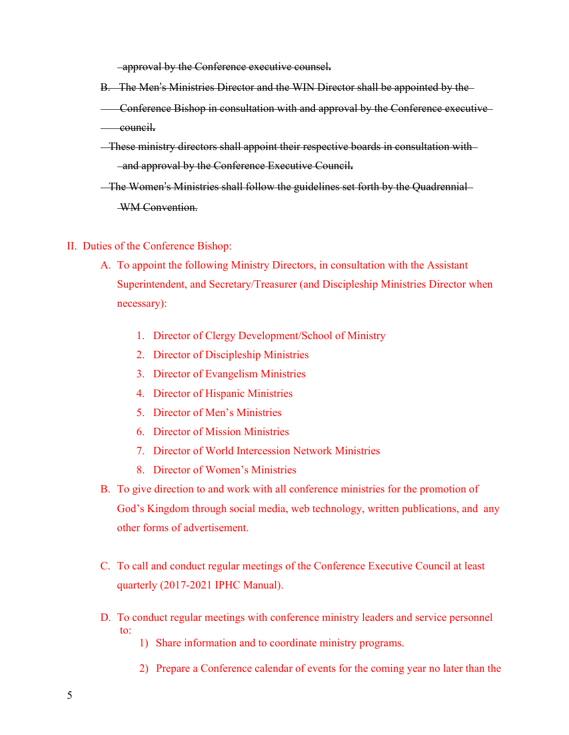approval by the Conference executive counsel**.**

- B. The Men's Ministries Director and the WIN Director shall be appointed by the
- Conference Bishop in consultation with and approval by the Conference executive council**.**
- These ministry directors shall appoint their respective boards in consultation with and approval by the Conference Executive Council**.**
- The Women's Ministries shall follow the guidelines set forth by the Quadrennial WM Convention.
- II. Duties of the Conference Bishop:
	- A. To appoint the following Ministry Directors, in consultation with the Assistant Superintendent, and Secretary/Treasurer (and Discipleship Ministries Director when necessary):
		- 1. Director of Clergy Development/School of Ministry
		- 2. Director of Discipleship Ministries
		- 3. Director of Evangelism Ministries
		- 4. Director of Hispanic Ministries
		- 5. Director of Men's Ministries
		- 6. Director of Mission Ministries
		- 7. Director of World Intercession Network Ministries
		- 8. Director of Women's Ministries
	- B. To give direction to and work with all conference ministries for the promotion of God's Kingdom through social media, web technology, written publications, and any other forms of advertisement.
	- C. To call and conduct regular meetings of the Conference Executive Council at least quarterly (2017-2021 IPHC Manual).
	- D. To conduct regular meetings with conference ministry leaders and service personnel to:
		- 1) Share information and to coordinate ministry programs.
		- 2) Prepare a Conference calendar of events for the coming year no later than the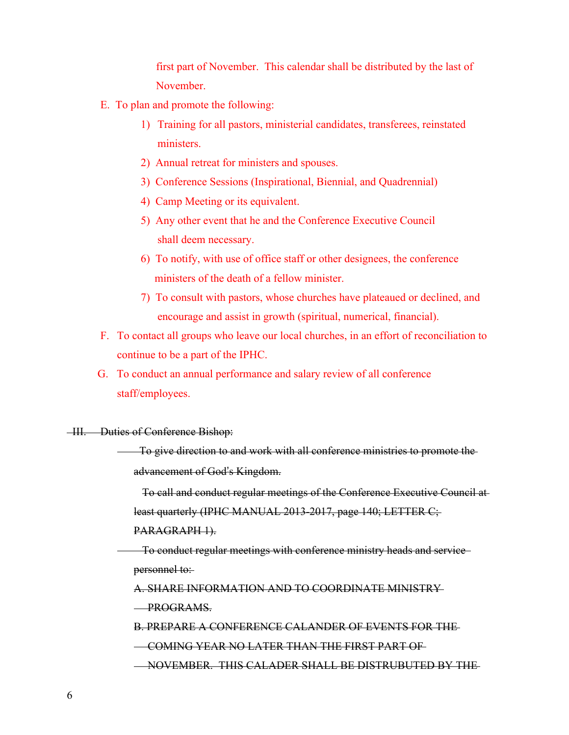first part of November. This calendar shall be distributed by the last of November.

- E. To plan and promote the following:
	- 1) Training for all pastors, ministerial candidates, transferees, reinstated ministers.
	- 2) Annual retreat for ministers and spouses.
	- 3) Conference Sessions (Inspirational, Biennial, and Quadrennial)
	- 4) Camp Meeting or its equivalent.
	- 5) Any other event that he and the Conference Executive Council shall deem necessary.
	- 6) To notify, with use of office staff or other designees, the conference ministers of the death of a fellow minister.
	- 7) To consult with pastors, whose churches have plateaued or declined, and encourage and assist in growth (spiritual, numerical, financial).
- F. To contact all groups who leave our local churches, in an effort of reconciliation to continue to be a part of the IPHC.
- G. To conduct an annual performance and salary review of all conference staff/employees.

#### **III.** Duties of Conference Bishop:

 To give direction to and work with all conference ministries to promote the advancement of God's Kingdom.

 To call and conduct regular meetings of the Conference Executive Council at least quarterly (IPHC MANUAL 2013-2017, page 140; LETTER C;

PARAGRAPH 1).

 To conduct regular meetings with conference ministry heads and service personnel to:

A. SHARE INFORMATION AND TO COORDINATE MINISTRY

PROGRAMS.

B. PREPARE A CONFERENCE CALANDER OF EVENTS FOR THE

- COMING YEAR NO LATER THAN THE FIRST PART OF
- NOVEMBER. THIS CALADER SHALL BE DISTRUBUTED BY THE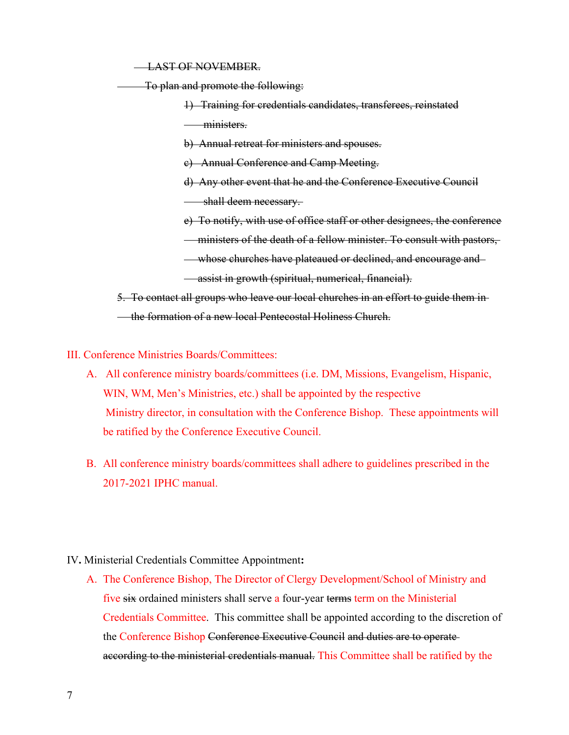LAST OF NOVEMBER.

To plan and promote the following:

1) Training for credentials candidates, transferees, reinstated

ministers.

b) Annual retreat for ministers and spouses.

c) Annual Conference and Camp Meeting.

d) Any other event that he and the Conference Executive Council

shall deem necessary.

- e) To notify, with use of office staff or other designees, the conference
- ministers of the death of a fellow minister. To consult with pastors,
- whose churches have plateaued or declined, and encourage and

assist in growth (spiritual, numerical, financial).

5. To contact all groups who leave our local churches in an effort to guide them in

the formation of a new local Pentecostal Holiness Church.

III. Conference Ministries Boards/Committees:

- A. All conference ministry boards/committees (i.e. DM, Missions, Evangelism, Hispanic, WIN, WM, Men's Ministries, etc.) shall be appointed by the respective Ministry director, in consultation with the Conference Bishop. These appointments will be ratified by the Conference Executive Council.
- B. All conference ministry boards/committees shall adhere to guidelines prescribed in the 2017-2021 IPHC manual.

#### IV**.** Ministerial Credentials Committee Appointment**:**

A. The Conference Bishop, The Director of Clergy Development/School of Ministry and five six ordained ministers shall serve a four-year terms term on the Ministerial Credentials Committee. This committee shall be appointed according to the discretion of the Conference Bishop Conference Executive Council and duties are to operate according to the ministerial credentials manual. This Committee shall be ratified by the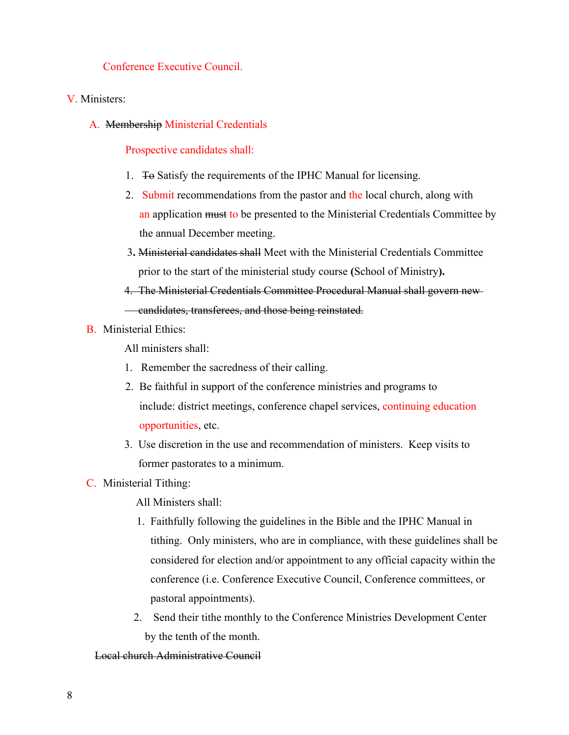Conference Executive Council.

#### V. Ministers:

A. Membership Ministerial Credentials

Prospective candidates shall:

- 1. To Satisfy the requirements of the IPHC Manual for licensing.
- 2. Submit recommendations from the pastor and the local church, along with an application must to be presented to the Ministerial Credentials Committee by the annual December meeting.
- 3**.** Ministerial candidates shall Meet with the Ministerial Credentials Committee prior to the start of the ministerial study course **(**School of Ministry**).**
- 4. The Ministerial Credentials Committee Procedural Manual shall govern new **Candidates, transferees, and those being reinstated.**
- B. Ministerial Ethics:

All ministers shall:

- 1. Remember the sacredness of their calling.
- 2. Be faithful in support of the conference ministries and programs to include: district meetings, conference chapel services, continuing education opportunities, etc.
- 3. Use discretion in the use and recommendation of ministers. Keep visits to former pastorates to a minimum.
- C. Ministerial Tithing:

All Ministers shall:

- 1. Faithfully following the guidelines in the Bible and the IPHC Manual in tithing. Only ministers, who are in compliance, with these guidelines shall be considered for election and/or appointment to any official capacity within the conference (i.e. Conference Executive Council, Conference committees, or pastoral appointments).
- 2. Send their tithe monthly to the Conference Ministries Development Center by the tenth of the month.

Local church Administrative Council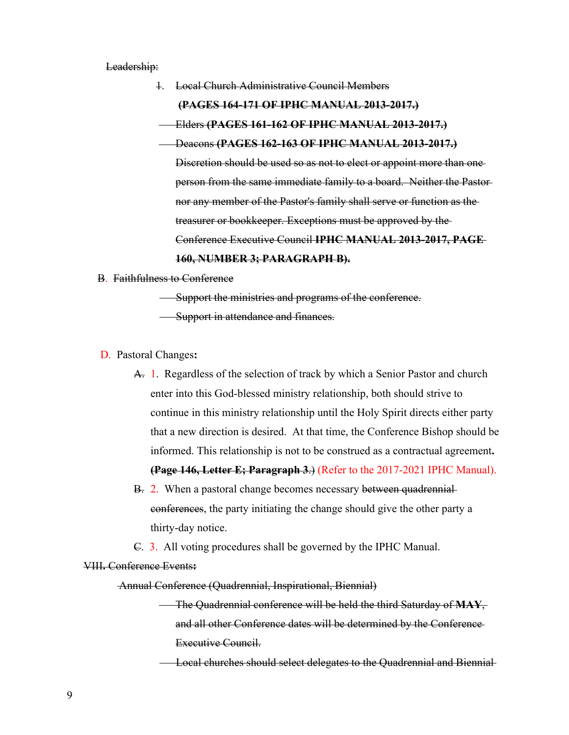Leadership:

- 1. Local Church Administrative Council Members  **(PAGES 164-171 OF IPHC MANUAL 2013-2017.)** Elders **(PAGES 161-162 OF IPHC MANUAL 2013-2017.)** Deacons **(PAGES 162-163 OF IPHC MANUAL 2013-2017.)**  Discretion should be used so as not to elect or appoint more than one person from the same immediate family to a board. Neither the Pastor nor any member of the Pastor's family shall serve or function as the treasurer or bookkeeper. Exceptions must be approved by the Conference Executive Council **IPHC MANUAL 2013-2017, PAGE 160, NUMBER 3; PARAGRAPH B).**
- B. Faithfulness to Conference
	- Support the ministries and programs of the conference.
	- Support in attendance and finances.
- D. Pastoral Changes**:**
	- A. 1. Regardless of the selection of track by which a Senior Pastor and church enter into this God-blessed ministry relationship, both should strive to continue in this ministry relationship until the Holy Spirit directs either party that a new direction is desired. At that time, the Conference Bishop should be informed. This relationship is not to be construed as a contractual agreement**.**

**(Page 146, Letter E; Paragraph 3**.) (Refer to the 2017-2021 IPHC Manual).

- B. 2. When a pastoral change becomes necessary between quadrennial conferences, the party initiating the change should give the other party a thirty-day notice.
- C. 3. All voting procedures shall be governed by the IPHC Manual.

VIII**.** Conference Events**:** 

Annual Conference (Quadrennial, Inspirational, Biennial)

The Quadrennial conference will be held the third Saturday of **MAY**, and all other Conference dates will be determined by the Conference Executive Council.

Local churches should select delegates to the Quadrennial and Biennial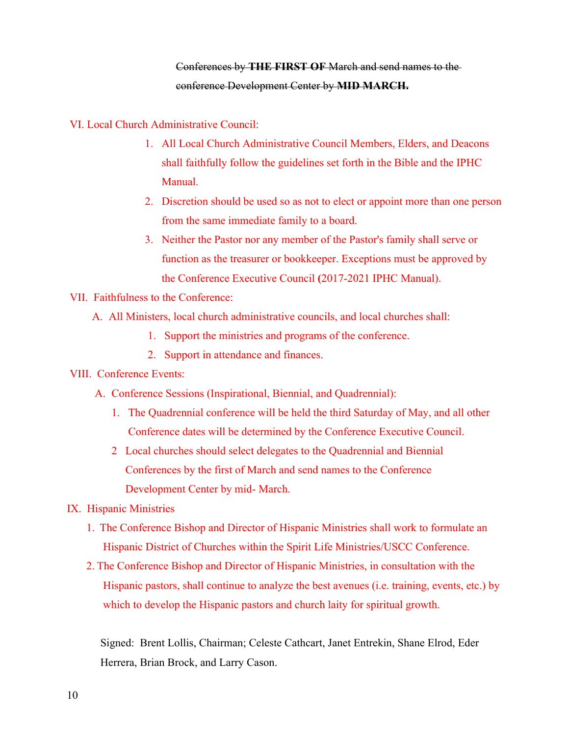# Conferences by **THE FIRST OF** March and send names to the conference Development Center by **MID MARCH.**

VI. Local Church Administrative Council:

- 1. All Local Church Administrative Council Members, Elders, and Deacons shall faithfully follow the guidelines set forth in the Bible and the IPHC Manual.
- 2. Discretion should be used so as not to elect or appoint more than one person from the same immediate family to a board.
- 3. Neither the Pastor nor any member of the Pastor's family shall serve or function as the treasurer or bookkeeper. Exceptions must be approved by the Conference Executive Council **(**2017-2021 IPHC Manual).

## VII. Faithfulness to the Conference:

- A. All Ministers, local church administrative councils, and local churches shall:
	- 1. Support the ministries and programs of the conference.
	- 2. Support in attendance and finances.

### VIII. Conference Events:

- A. Conference Sessions (Inspirational, Biennial, and Quadrennial):
	- 1. The Quadrennial conference will be held the third Saturday of May, and all other Conference dates will be determined by the Conference Executive Council.
	- 2 Local churches should select delegates to the Quadrennial and Biennial Conferences by the first of March and send names to the Conference Development Center by mid- March.
- IX. Hispanic Ministries
	- 1. The Conference Bishop and Director of Hispanic Ministries shall work to formulate an Hispanic District of Churches within the Spirit Life Ministries/USCC Conference.
	- 2. The Conference Bishop and Director of Hispanic Ministries, in consultation with the Hispanic pastors, shall continue to analyze the best avenues (i.e. training, events, etc.) by which to develop the Hispanic pastors and church laity for spiritual growth.

Signed: Brent Lollis, Chairman; Celeste Cathcart, Janet Entrekin, Shane Elrod, Eder Herrera, Brian Brock, and Larry Cason.